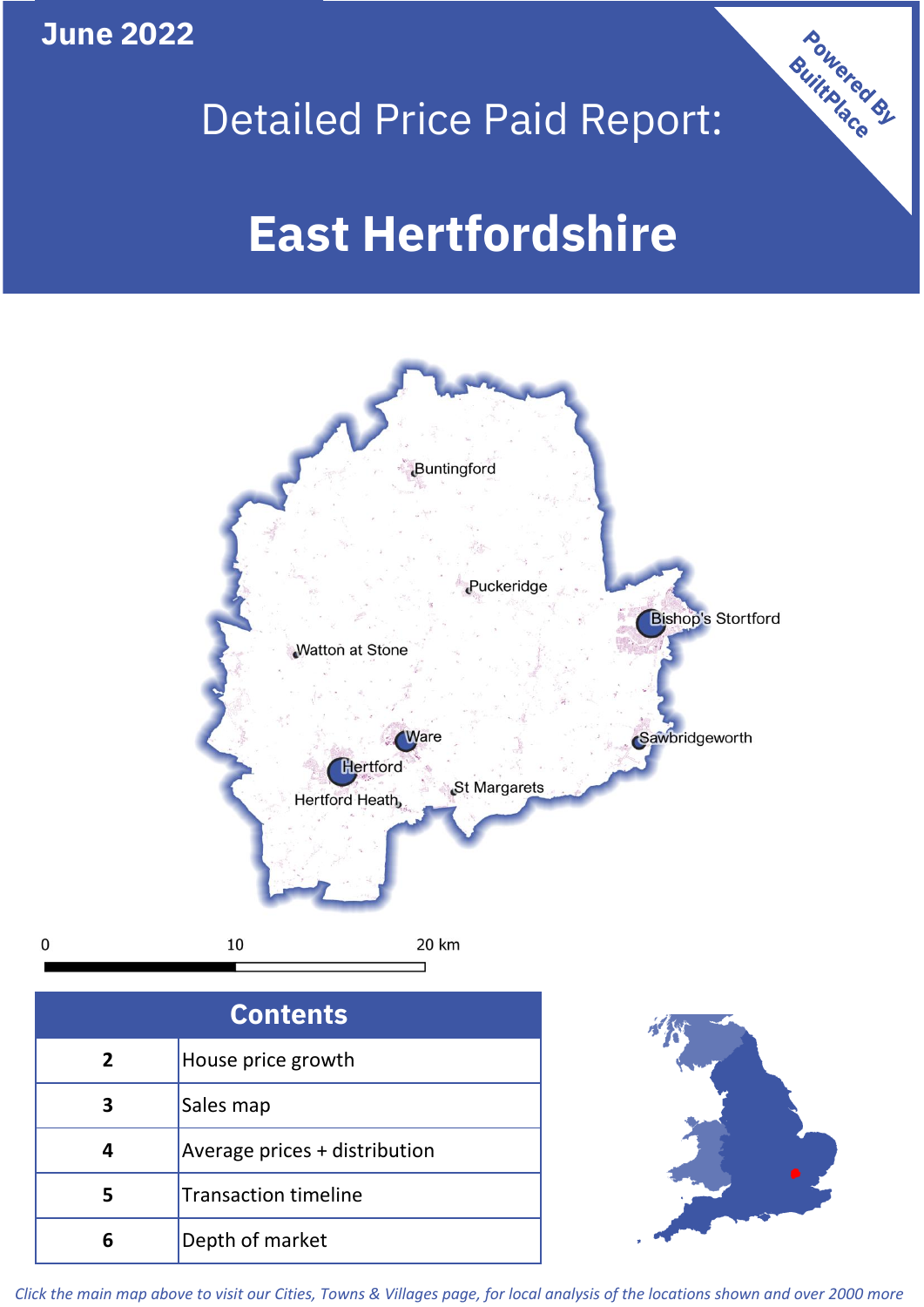**June 2022**

 $\mathbf 0$ 





| <b>Contents</b> |                               |  |  |
|-----------------|-------------------------------|--|--|
| $\mathbf{2}$    | House price growth            |  |  |
| 3               | Sales map                     |  |  |
| 4               | Average prices + distribution |  |  |
|                 | <b>Transaction timeline</b>   |  |  |
|                 | Depth of market               |  |  |



*Click the main map above to visit our Cities, Towns & Villages page, for local analysis of the locations shown and over 2000 more*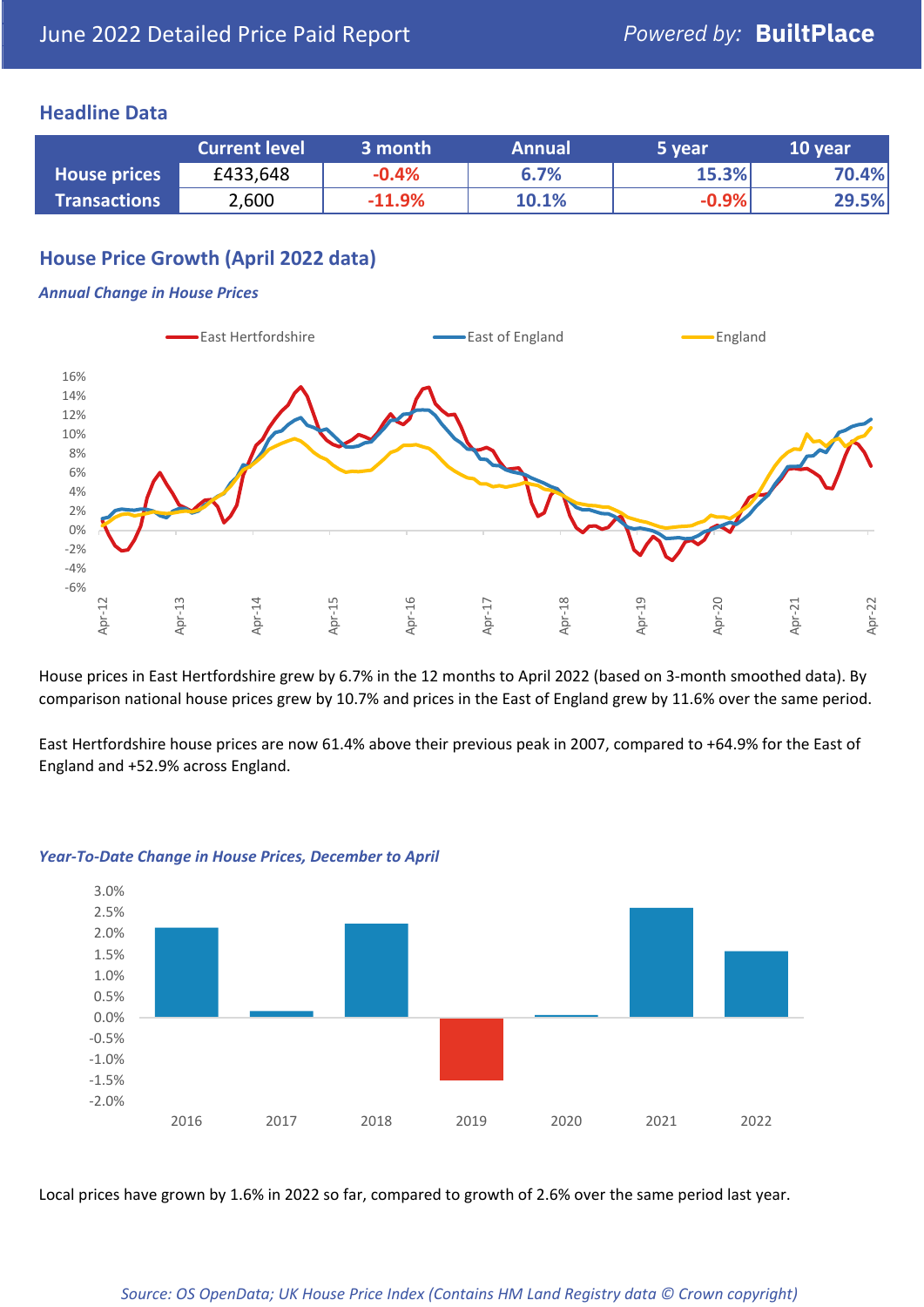## **Headline Data**

|                     | <b>Current level</b> | 3 month  | <b>Annual</b> | 5 year  | 10 year |
|---------------------|----------------------|----------|---------------|---------|---------|
| <b>House prices</b> | £433,648             | $-0.4%$  | 6.7%          | 15.3%   | 70.4%   |
| <b>Transactions</b> | 2,600                | $-11.9%$ | 10.1%         | $-0.9%$ | 29.5%   |

## **House Price Growth (April 2022 data)**

#### *Annual Change in House Prices*



House prices in East Hertfordshire grew by 6.7% in the 12 months to April 2022 (based on 3-month smoothed data). By comparison national house prices grew by 10.7% and prices in the East of England grew by 11.6% over the same period.

East Hertfordshire house prices are now 61.4% above their previous peak in 2007, compared to +64.9% for the East of England and +52.9% across England.



#### *Year-To-Date Change in House Prices, December to April*

Local prices have grown by 1.6% in 2022 so far, compared to growth of 2.6% over the same period last year.

#### *Source: OS OpenData; UK House Price Index (Contains HM Land Registry data © Crown copyright)*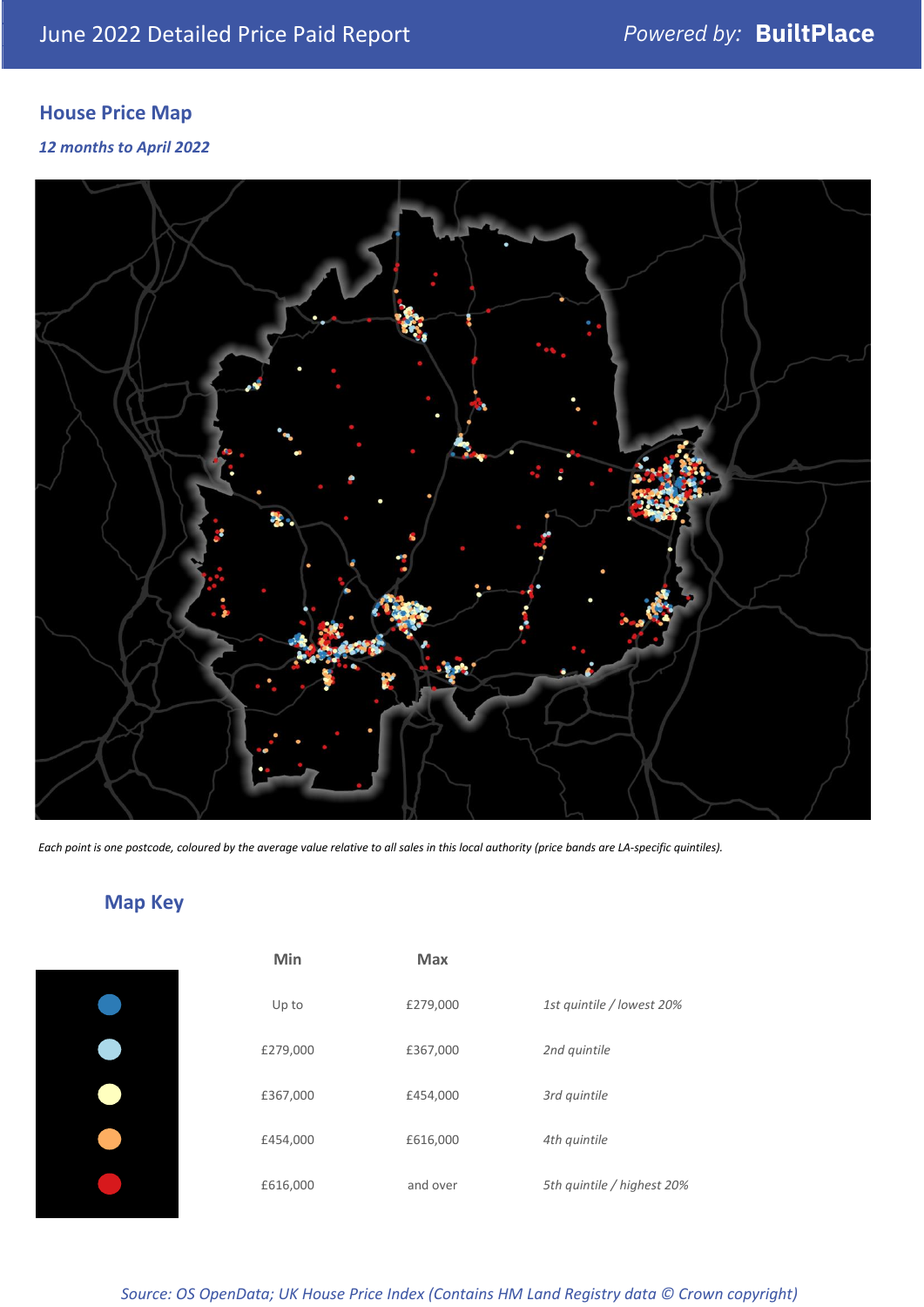# **House Price Map**

## *12 months to April 2022*



*Each point is one postcode, coloured by the average value relative to all sales in this local authority (price bands are LA-specific quintiles).*

# **Map Key**

| Min      | <b>Max</b> |              |
|----------|------------|--------------|
| Up to    | £279,000   | 1st quintile |
| £279,000 | £367,000   | 2nd quintile |
| £367,000 | £454,000   | 3rd quintile |
| £454,000 | £616,000   | 4th quintile |
| £616,000 | and over   | 5th quintile |
|          |            |              |

*Source: OS OpenData; UK House Price Index (Contains HM Land Registry data © Crown copyright)*

0% Up to £279,000 *1st quintile / lowest 20%*

5th quintile / highest 20%

2nd quintile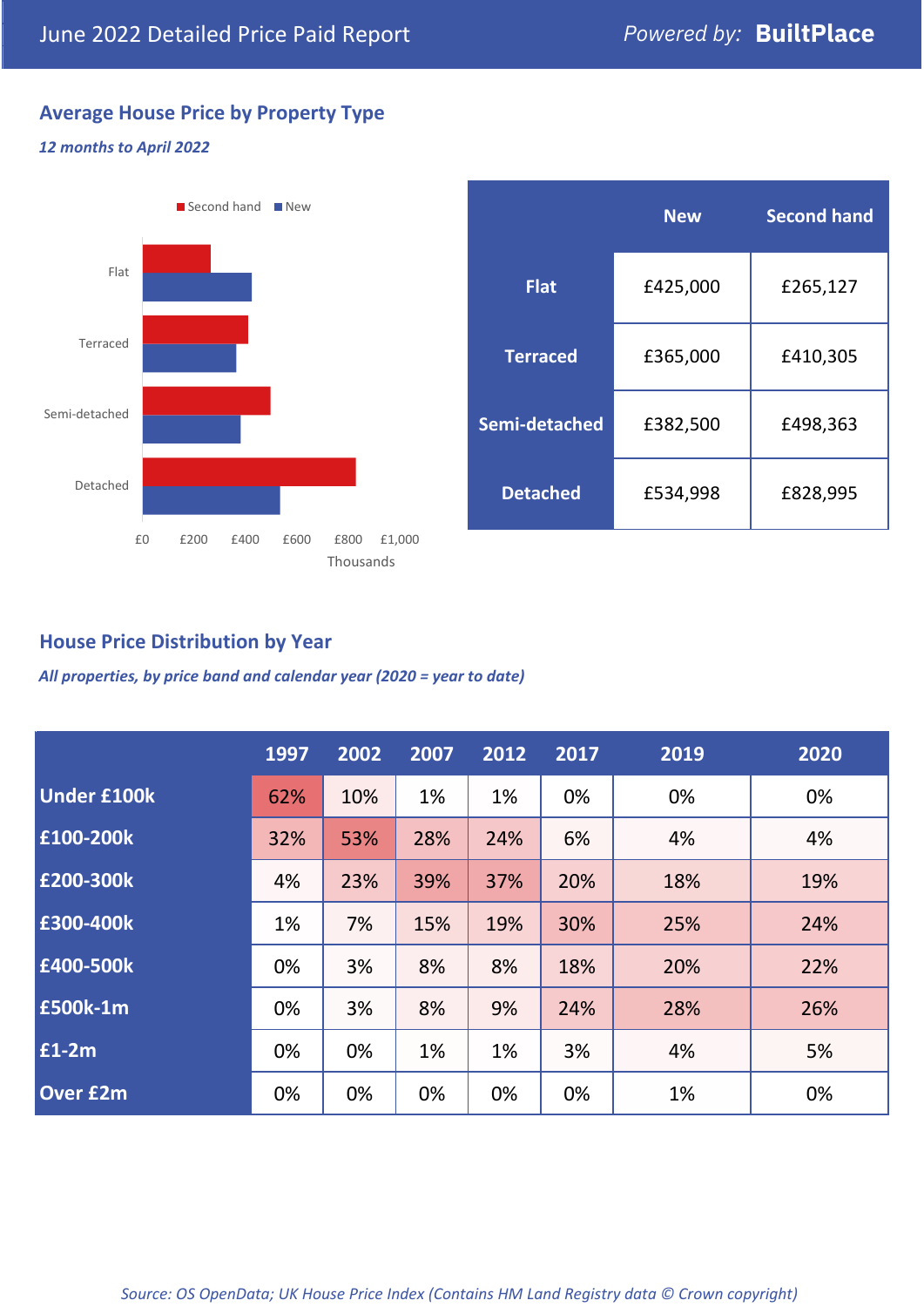# **Average House Price by Property Type**

## *12 months to April 2022*



|                 | <b>New</b> | <b>Second hand</b> |  |  |
|-----------------|------------|--------------------|--|--|
| <b>Flat</b>     | £425,000   | £265,127           |  |  |
| <b>Terraced</b> | £365,000   | £410,305           |  |  |
| Semi-detached   | £382,500   | £498,363           |  |  |
| <b>Detached</b> | £534,998   | £828,995           |  |  |

## **House Price Distribution by Year**

*All properties, by price band and calendar year (2020 = year to date)*

|                    | 1997 | 2002 | 2007 | 2012 | 2017 | 2019 | 2020 |
|--------------------|------|------|------|------|------|------|------|
| <b>Under £100k</b> | 62%  | 10%  | 1%   | 1%   | 0%   | 0%   | 0%   |
| £100-200k          | 32%  | 53%  | 28%  | 24%  | 6%   | 4%   | 4%   |
| E200-300k          | 4%   | 23%  | 39%  | 37%  | 20%  | 18%  | 19%  |
| £300-400k          | 1%   | 7%   | 15%  | 19%  | 30%  | 25%  | 24%  |
| £400-500k          | 0%   | 3%   | 8%   | 8%   | 18%  | 20%  | 22%  |
| <b>£500k-1m</b>    | 0%   | 3%   | 8%   | 9%   | 24%  | 28%  | 26%  |
| £1-2m              | 0%   | 0%   | 1%   | 1%   | 3%   | 4%   | 5%   |
| <b>Over £2m</b>    | 0%   | 0%   | 0%   | 0%   | 0%   | 1%   | 0%   |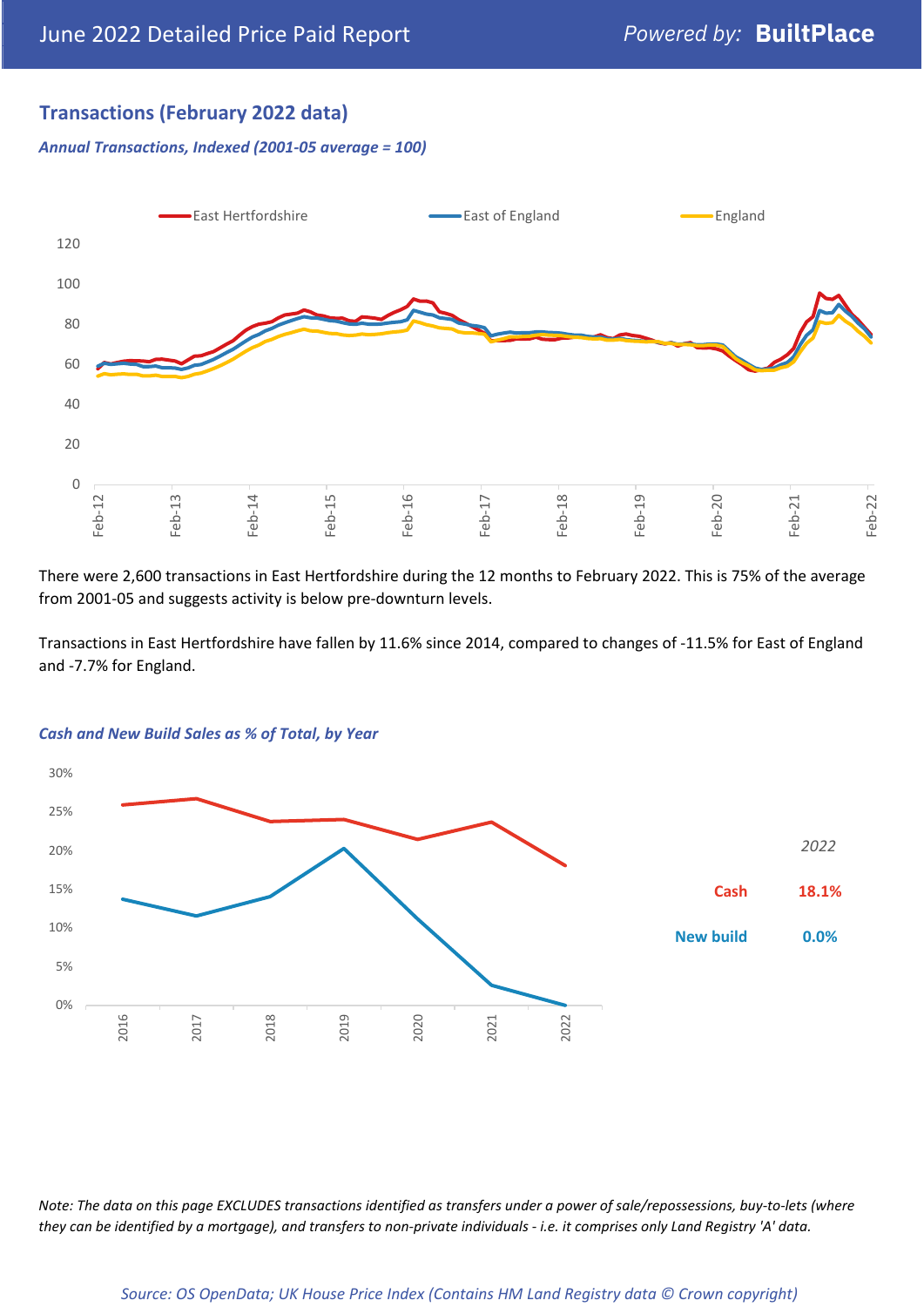## **Transactions (February 2022 data)**

*Annual Transactions, Indexed (2001-05 average = 100)*



There were 2,600 transactions in East Hertfordshire during the 12 months to February 2022. This is 75% of the average from 2001-05 and suggests activity is below pre-downturn levels.

Transactions in East Hertfordshire have fallen by 11.6% since 2014, compared to changes of -11.5% for East of England and -7.7% for England.



#### *Cash and New Build Sales as % of Total, by Year*

*Note: The data on this page EXCLUDES transactions identified as transfers under a power of sale/repossessions, buy-to-lets (where they can be identified by a mortgage), and transfers to non-private individuals - i.e. it comprises only Land Registry 'A' data.*